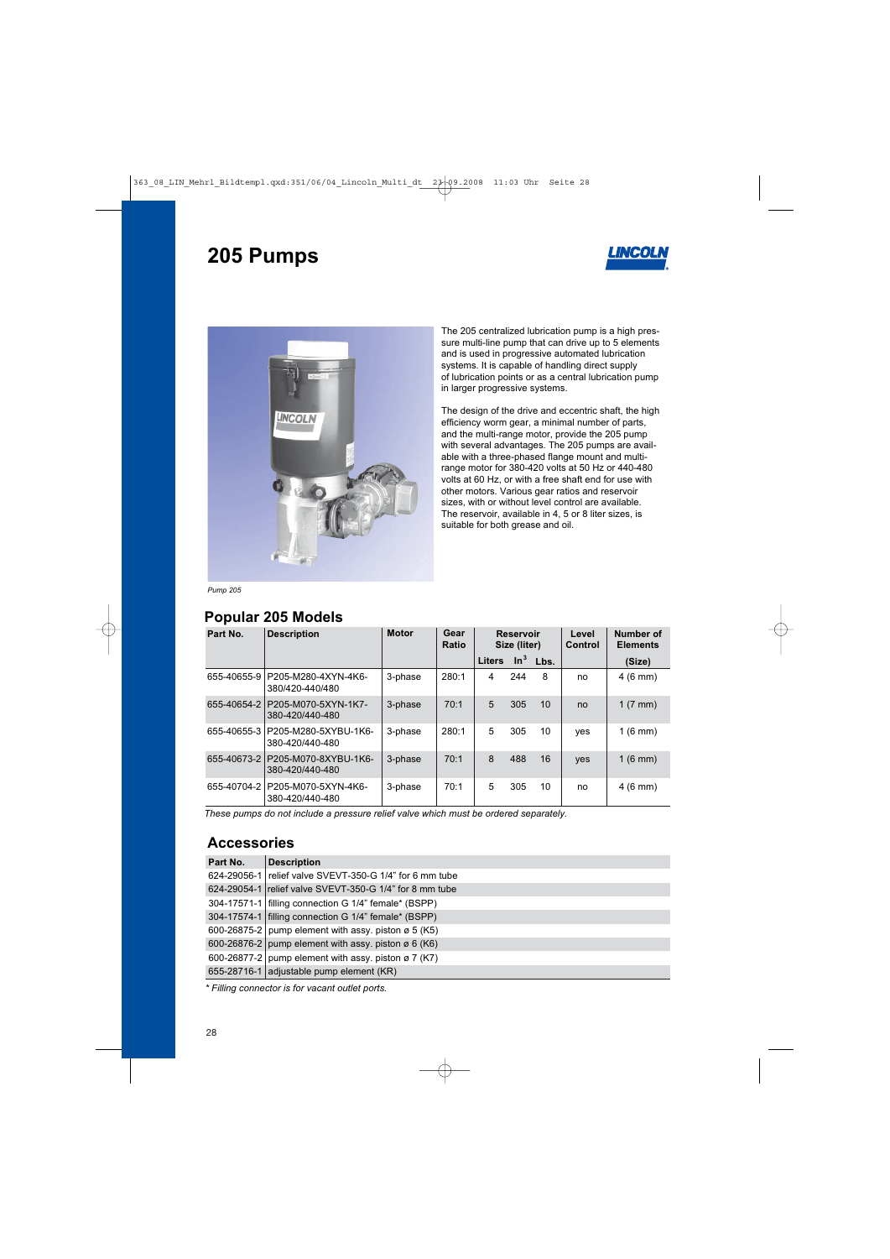# **205 Pumps**





The 205 centralized lubrication pump is a high pressure multi-line pump that can drive up to 5 elements and is used in progressive automated lubrication systems. It is capable of handling direct supply of lubrication points or as a central lubrication pump in larger progressive systems.

The design of the drive and eccentric shaft, the high efficiency worm gear, a minimal number of parts, and the multi-range motor, provide the 205 pump with several advantages. The 205 pumps are available with a three-phased flange mount and multirange motor for 380-420 volts at 50 Hz or 440-480 volts at 60 Hz, or with a free shaft end for use with other motors. Various gear ratios and reservoir sizes, with or without level control are available. The reservoir, available in 4, 5 or 8 liter sizes, is suitable for both grease and oil.

*Pump 205*

#### **Popular 205 Models**

| Part No.    | <b>Description</b>                                  | <b>Motor</b> | Gear<br><b>Ratio</b> | <b>Reservoir</b><br>Size (liter) |     | Level<br>Control | Number of<br><b>Elements</b> |                    |
|-------------|-----------------------------------------------------|--------------|----------------------|----------------------------------|-----|------------------|------------------------------|--------------------|
|             |                                                     |              |                      | <b>Liters</b>                    |     | $\ln^3$ Lbs.     |                              | (Size)             |
| 655-40655-9 | P205-M280-4XYN-4K6-<br>380/420-440/480              | 3-phase      | 280:1                | 4                                | 244 | 8                | no                           | $4(6 \text{ mm})$  |
| 655-40654-2 | P205-M070-5XYN-1K7-<br>380-420/440-480              | 3-phase      | 70:1                 | 5                                | 305 | 10               | no                           | 1 $(7 \text{ mm})$ |
| 655-40655-3 | P205-M280-5XYBU-1K6-<br>380-420/440-480             | 3-phase      | 280:1                | 5                                | 305 | 10               | yes                          | $1(6$ mm)          |
|             | 655-40673-2 P205-M070-8XYBU-1K6-<br>380-420/440-480 | 3-phase      | 70:1                 | 8                                | 488 | 16               | yes                          | $1(6$ mm)          |
| 655-40704-2 | P205-M070-5XYN-4K6-<br>380-420/440-480              | 3-phase      | 70:1                 | 5                                | 305 | 10               | no                           | $4(6 \text{ mm})$  |

*These pumps do not include a pressure relief valve which must be ordered separately.*

### **Accessories**

| Part No. | <b>Description</b>                                      |
|----------|---------------------------------------------------------|
|          | 624-29056-1 relief valve SVEVT-350-G 1/4" for 6 mm tube |
|          | 624-29054-1 relief valve SVEVT-350-G 1/4" for 8 mm tube |
|          | 304-17571-1   filling connection G 1/4" female* (BSPP)  |
|          | 304-17574-1 filling connection G 1/4" female* (BSPP)    |
|          | 600-26875-2 pump element with assy. piston ø 5 (K5)     |
|          | 600-26876-2 pump element with assy. piston ø 6 (K6)     |
|          | 600-26877-2 pump element with assy. piston ø 7 (K7)     |
|          | 655-28716-1 adjustable pump element (KR)                |

*\* Filling connector is for vacant outlet ports.*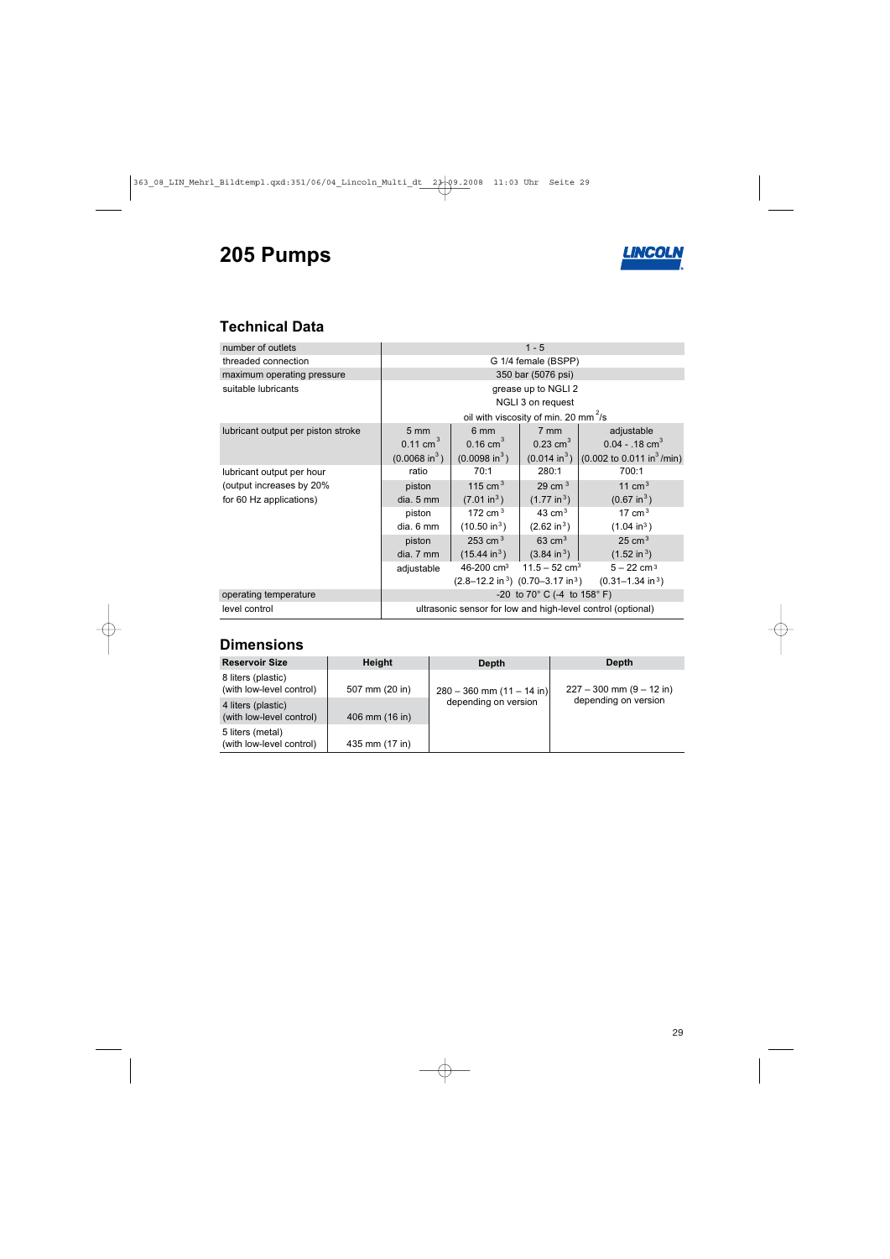# **205 Pumps**



## **Technical Data**

| number of outlets                  | $1 - 5$                                                                         |                          |                           |                                                     |  |  |  |
|------------------------------------|---------------------------------------------------------------------------------|--------------------------|---------------------------|-----------------------------------------------------|--|--|--|
| threaded connection                | G 1/4 female (BSPP)                                                             |                          |                           |                                                     |  |  |  |
| maximum operating pressure         | 350 bar (5076 psi)                                                              |                          |                           |                                                     |  |  |  |
| suitable lubricants                | grease up to NGLI 2                                                             |                          |                           |                                                     |  |  |  |
|                                    | NGLI 3 on request                                                               |                          |                           |                                                     |  |  |  |
|                                    | oil with viscosity of min. 20 mm <sup>2</sup> /s                                |                          |                           |                                                     |  |  |  |
| lubricant output per piston stroke | $5 \, \text{mm}$                                                                | 6 mm                     | $7 \text{ mm}$            | adjustable                                          |  |  |  |
|                                    | $0.11$ cm <sup>3</sup>                                                          | $0.16$ cm <sup>3</sup>   | 0.23 cm <sup>3</sup>      | $0.04 - 0.18$ cm <sup>3</sup>                       |  |  |  |
|                                    | $(0.0068 \text{ in}^3)$                                                         | $(0.0098 \text{ in}^3)$  | $(0.014 \text{ in}^3)$    | $(0.002 \text{ to } 0.011 \text{ in}^3/\text{min})$ |  |  |  |
| lubricant output per hour          | ratio                                                                           | 70:1                     | 280:1                     | 700:1                                               |  |  |  |
| (output increases by 20%)          | piston                                                                          | 115 cm $^3$              | 29 cm $3$                 | 11 cm $3$                                           |  |  |  |
| for 60 Hz applications)            | dia. 5 mm                                                                       | (7.01 in <sup>3</sup> )  | $(1.77 \text{ in}^3)$     | $(0.67 \text{ in}^3)$                               |  |  |  |
|                                    | piston                                                                          | 172 cm $^3$              | 43 $cm3$                  | 17 cm $^3$                                          |  |  |  |
|                                    | dia. 6 mm                                                                       | (10.50 in <sup>3</sup> ) | $(2.62 \text{ in}^3)$     | $(1.04 \text{ in}^3)$                               |  |  |  |
|                                    | piston                                                                          | 253 cm $^3$              | $63 \text{ cm}^3$         | $25 \text{ cm}^3$                                   |  |  |  |
|                                    | dia. 7 mm                                                                       | $(15.44 \text{ in}^3)$   | $(3.84 \text{ in}^3)$     | $(1.52 \text{ in}^3)$                               |  |  |  |
|                                    | adjustable                                                                      | 46-200 cm <sup>3</sup>   | 11.5 – 52 cm <sup>3</sup> | $5 - 22$ cm <sup>3</sup>                            |  |  |  |
|                                    | $(2.8-12.2 \text{ in}^3)$ $(0.70-3.17 \text{ in}^3)$ $(0.31-1.34 \text{ in}^3)$ |                          |                           |                                                     |  |  |  |
| operating temperature              | -20 to 70 $^{\circ}$ C (-4 to 158 $^{\circ}$ F)                                 |                          |                           |                                                     |  |  |  |
| level control                      | ultrasonic sensor for low and high-level control (optional)                     |                          |                           |                                                     |  |  |  |

### **Dimensions**

| <b>Reservoir Size</b>                          | <b>Height</b>  | Depth                         | Depth                                                |  |  |
|------------------------------------------------|----------------|-------------------------------|------------------------------------------------------|--|--|
| 8 liters (plastic)<br>(with low-level control) | 507 mm (20 in) | $280 - 360$ mm $(11 - 14$ in) | $227 - 300$ mm $(9 - 12$ in)<br>depending on version |  |  |
| 4 liters (plastic)<br>(with low-level control) | 406 mm (16 in) | depending on version          |                                                      |  |  |
| 5 liters (metal)<br>(with low-level control)   | 435 mm (17 in) |                               |                                                      |  |  |